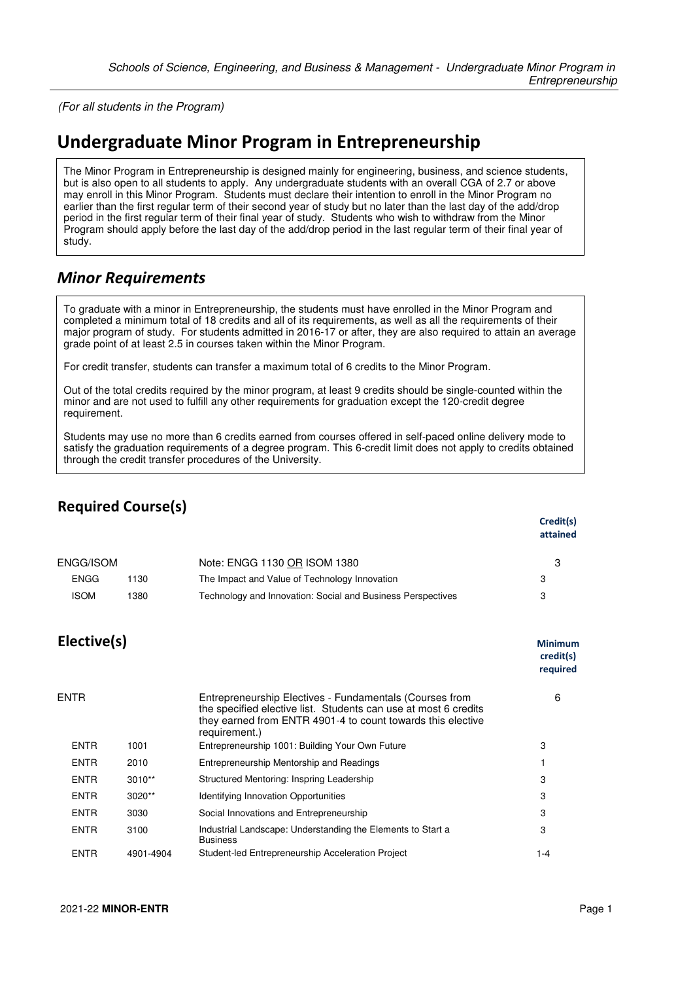(For all students in the Program)

## **Undergraduate Minor Program in Entrepreneurship**

The Minor Program in Entrepreneurship is designed mainly for engineering, business, and science students, but is also open to all students to apply. Any undergraduate students with an overall CGA of 2.7 or above may enroll in this Minor Program. Students must declare their intention to enroll in the Minor Program no earlier than the first regular term of their second year of study but no later than the last day of the add/drop period in the first regular term of their final year of study. Students who wish to withdraw from the Minor Program should apply before the last day of the add/drop period in the last regular term of their final year of study.

## *Minor Requirements*

To graduate with a minor in Entrepreneurship, the students must have enrolled in the Minor Program and completed a minimum total of 18 credits and all of its requirements, as well as all the requirements of their major program of study. For students admitted in 2016-17 or after, they are also required to attain an average grade point of at least 2.5 in courses taken within the Minor Program.

For credit transfer, students can transfer a maximum total of 6 credits to the Minor Program.

Out of the total credits required by the minor program, at least 9 credits should be single-counted within the minor and are not used to fulfill any other requirements for graduation except the 120-credit degree requirement.

Students may use no more than 6 credits earned from courses offered in self-paced online delivery mode to satisfy the graduation requirements of a degree program. This 6-credit limit does not apply to credits obtained through the credit transfer procedures of the University.

| <b>Required Course(s)</b> |           |                                                                                                                                                                                                            |                                         |
|---------------------------|-----------|------------------------------------------------------------------------------------------------------------------------------------------------------------------------------------------------------------|-----------------------------------------|
|                           |           |                                                                                                                                                                                                            | Credit(s)<br>attained                   |
| ENGG/ISOM                 |           | Note: ENGG 1130 OR ISOM 1380                                                                                                                                                                               | 3                                       |
| <b>ENGG</b>               | 1130      | The Impact and Value of Technology Innovation                                                                                                                                                              | 3                                       |
| <b>ISOM</b>               | 1380      | Technology and Innovation: Social and Business Perspectives                                                                                                                                                | 3                                       |
| Elective(s)               |           |                                                                                                                                                                                                            | <b>Minimum</b><br>credit(s)<br>required |
| <b>ENTR</b>               |           | Entrepreneurship Electives - Fundamentals (Courses from<br>the specified elective list. Students can use at most 6 credits<br>they earned from ENTR 4901-4 to count towards this elective<br>requirement.) | 6                                       |
| <b>ENTR</b>               | 1001      | Entrepreneurship 1001: Building Your Own Future                                                                                                                                                            | 3                                       |
| <b>ENTR</b>               | 2010      | Entrepreneurship Mentorship and Readings                                                                                                                                                                   | 1                                       |
| <b>ENTR</b>               | $3010**$  | Structured Mentoring: Inspring Leadership                                                                                                                                                                  | 3                                       |
| <b>ENTR</b>               | 3020**    | <b>Identifying Innovation Opportunities</b>                                                                                                                                                                | 3                                       |
| <b>ENTR</b>               | 3030      | Social Innovations and Entrepreneurship                                                                                                                                                                    | 3                                       |
| <b>ENTR</b>               | 3100      | Industrial Landscape: Understanding the Elements to Start a<br><b>Business</b>                                                                                                                             | 3                                       |
| <b>ENTR</b>               | 4901-4904 | Student-led Entrepreneurship Acceleration Project                                                                                                                                                          | $1 - 4$                                 |